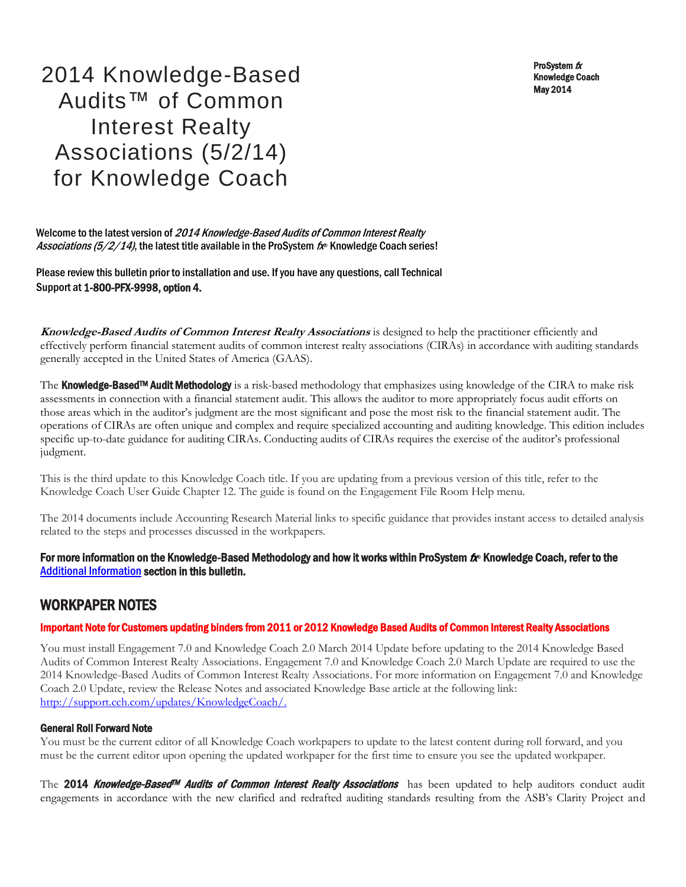ProSystem fx Knowledge Coach May 2014

2014 Knowledge-Based Audits™ of Common Interest Realty Associations (5/2/14) for Knowledge Coach

Welcome to the latest version of 2014 Knowledge-Based Audits of Common Interest Realty Associations (5/2/14), the latest title available in the ProSystem fx® Knowledge Coach series!

Please review this bulletin prior to installation and use. If you have any questions, call Technical Support at 1-800-PFX-9998, option 4.

**Knowledge-Based Audits of Common Interest Realty Associations** is designed to help the practitioner efficiently and effectively perform financial statement audits of common interest realty associations (CIRAs) in accordance with auditing standards generally accepted in the United States of America (GAAS).

The Knowledge-Based<sup>TM</sup> Audit Methodology is a risk-based methodology that emphasizes using knowledge of the CIRA to make risk assessments in connection with a financial statement audit. This allows the auditor to more appropriately focus audit efforts on those areas which in the auditor's judgment are the most significant and pose the most risk to the financial statement audit. The operations of CIRAs are often unique and complex and require specialized accounting and auditing knowledge. This edition includes specific up-to-date guidance for auditing CIRAs. Conducting audits of CIRAs requires the exercise of the auditor's professional judgment.

This is the third update to this Knowledge Coach title. If you are updating from a previous version of this title, refer to the Knowledge Coach User Guide Chapter 12. The guide is found on the Engagement File Room Help menu.

The 2014 documents include Accounting Research Material links to specific guidance that provides instant access to detailed analysis related to the steps and processes discussed in the workpapers.

## For more information on the Knowledge-Based Methodology and how it works within ProSystem  $f_\text{R}$  Knowledge Coach, refer to the [Additional Information s](#page-2-0)ection in this bulletin.

## WORKPAPER NOTES

#### Important Note for Customers updating binders from 2011 or 2012 Knowledge Based Audits of Common Interest Realty Associations

You must install Engagement 7.0 and Knowledge Coach 2.0 March 2014 Update before updating to the 2014 Knowledge Based Audits of Common Interest Realty Associations. Engagement 7.0 and Knowledge Coach 2.0 March Update are required to use the 2014 Knowledge-Based Audits of Common Interest Realty Associations. For more information on Engagement 7.0 and Knowledge Coach 2.0 Update, review the Release Notes and associated Knowledge Base article at the following link: [http://support.cch.com/updates/KnowledgeCoach/.](http://support.cch.com/updates/KnowledgeCoach/) 

#### General Roll Forward Note

You must be the current editor of all Knowledge Coach workpapers to update to the latest content during roll forward, and you must be the current editor upon opening the updated workpaper for the first time to ensure you see the updated workpaper.

The 2014 Knowledge-Based<sup>m</sup> Audits of Common Interest Realty Associations has been updated to help auditors conduct audit engagements in accordance with the new clarified and redrafted auditing standards resulting from the ASB's Clarity Project and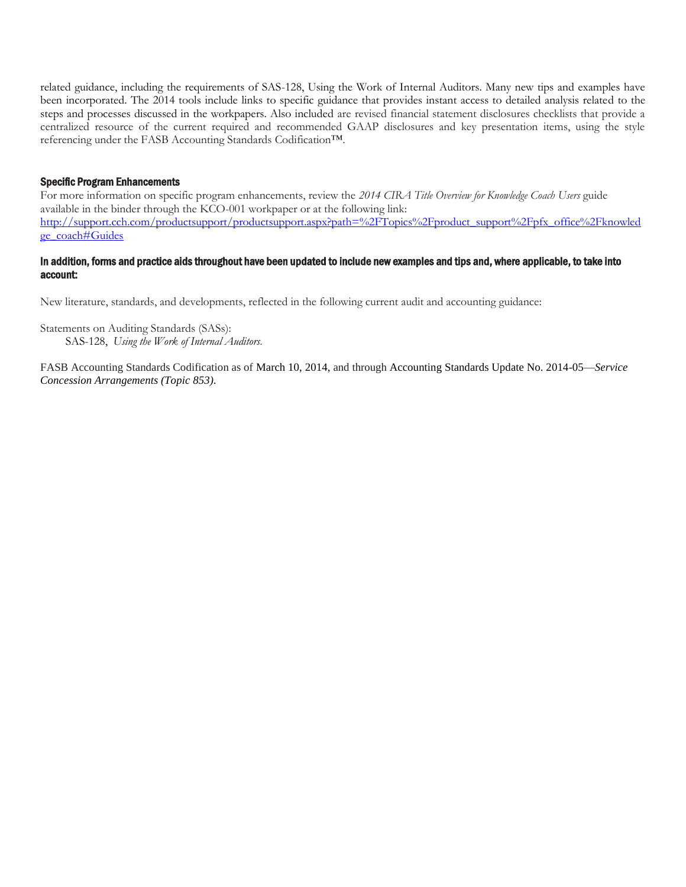related guidance, including the requirements of SAS-128, Using the Work of Internal Auditors. Many new tips and examples have been incorporated. The 2014 tools include links to specific guidance that provides instant access to detailed analysis related to the steps and processes discussed in the workpapers. Also included are revised financial statement disclosures checklists that provide a centralized resource of the current required and recommended GAAP disclosures and key presentation items, using the style referencing under the FASB Accounting Standards Codification™.

#### Specific Program Enhancements

For more information on specific program enhancements, review the *2014 CIRA Title Overview for Knowledge Coach Users* guide available in the binder through the KCO-001 workpaper or at the following link: [http://support.cch.com/productsupport/productsupport.aspx?path=%2FTopics%2Fproduct\\_support%2Fpfx\\_office%2Fknowled](http://support.cch.com/productsupport/productsupport.aspx?path=%2FTopics%2Fproduct_support%2Fpfx_office%2Fknowledge_coach#Guides) [ge\\_coach#Guides](http://support.cch.com/productsupport/productsupport.aspx?path=%2FTopics%2Fproduct_support%2Fpfx_office%2Fknowledge_coach#Guides) 

#### In addition, forms and practice aids throughout have been updated to include new examples and tips and, where applicable, to take into account:

New literature, standards, and developments, reflected in the following current audit and accounting guidance:

Statements on Auditing Standards (SASs):

SAS-128, *Using the Work of Internal Auditors.*

FASB Accounting Standards Codification as of March 10, 2014, and through Accounting Standards Update No. 2014-05—*Service Concession Arrangements (Topic 853).*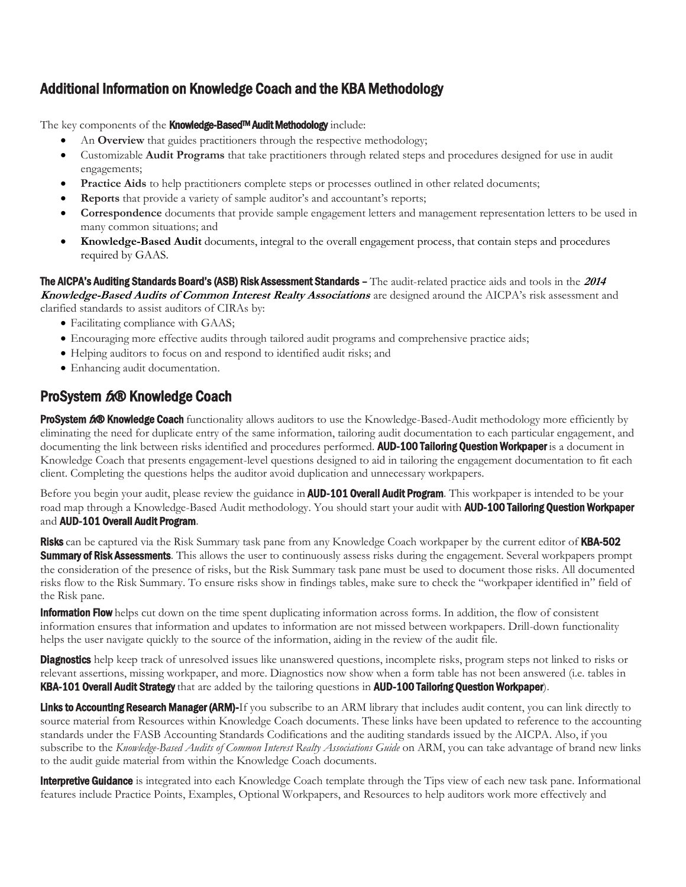# <span id="page-2-0"></span>Additional Information on Knowledge Coach and the KBA Methodology

The key components of the **Knowledge-Based<sup>TM</sup> Audit Methodology** include:

- An **Overview** that guides practitioners through the respective methodology;
- Customizable **Audit Programs** that take practitioners through related steps and procedures designed for use in audit engagements;
- **Practice Aids** to help practitioners complete steps or processes outlined in other related documents;
- **Reports** that provide a variety of sample auditor's and accountant's reports;
- **Correspondence** documents that provide sample engagement letters and management representation letters to be used in many common situations; and
- **Knowledge-Based Audit** documents, integral to the overall engagement process, that contain steps and procedures required by GAAS.

The AICPA's Auditing Standards Board's (ASB) Risk Assessment Standards – The audit-related practice aids and tools in the **<sup>2014</sup> Knowledge-Based Audits of Common Interest Realty Associations** are designed around the AICPA's risk assessment and clarified standards to assist auditors of CIRAs by:

- Facilitating compliance with GAAS;
- Encouraging more effective audits through tailored audit programs and comprehensive practice aids;
- Helping auditors to focus on and respond to identified audit risks; and
- Enhancing audit documentation.

## ProSystem 6<sup>x</sup>® Knowledge Coach

ProSystem 600 Knowledge Coach functionality allows auditors to use the Knowledge-Based-Audit methodology more efficiently by eliminating the need for duplicate entry of the same information, tailoring audit documentation to each particular engagement, and documenting the link between risks identified and procedures performed. AUD-100 Tailoring Question Workpaper is a document in Knowledge Coach that presents engagement-level questions designed to aid in tailoring the engagement documentation to fit each client. Completing the questions helps the auditor avoid duplication and unnecessary workpapers.

Before you begin your audit, please review the guidance in **AUD-101 Overall Audit Program**. This workpaper is intended to be your road map through a Knowledge-Based Audit methodology. You should start your audit with **AUD-100 Tailoring Question Workpaper** and AUD-101 Overall Audit Program.

Risks can be captured via the Risk Summary task pane from any Knowledge Coach workpaper by the current editor of KBA-502 **Summary of Risk Assessments**. This allows the user to continuously assess risks during the engagement. Several workpapers prompt the consideration of the presence of risks, but the Risk Summary task pane must be used to document those risks. All documented risks flow to the Risk Summary. To ensure risks show in findings tables, make sure to check the "workpaper identified in" field of the Risk pane.

**Information Flow** helps cut down on the time spent duplicating information across forms. In addition, the flow of consistent information ensures that information and updates to information are not missed between workpapers. Drill-down functionality helps the user navigate quickly to the source of the information, aiding in the review of the audit file.

**Diagnostics** help keep track of unresolved issues like unanswered questions, incomplete risks, program steps not linked to risks or relevant assertions, missing workpaper, and more. Diagnostics now show when a form table has not been answered (i.e. tables in KBA-101 Overall Audit Strategy that are added by the tailoring questions in AUD-100 Tailoring Question Workpaper).

Links to Accounting Research Manager (ARM)-If you subscribe to an ARM library that includes audit content, you can link directly to source material from Resources within Knowledge Coach documents. These links have been updated to reference to the accounting standards under the FASB Accounting Standards Codifications and the auditing standards issued by the AICPA. Also, if you subscribe to the *Knowledge-Based Audits of Common Interest Realty Associations Guide* on ARM, you can take advantage of brand new links to the audit guide material from within the Knowledge Coach documents.

Interpretive Guidance is integrated into each Knowledge Coach template through the Tips view of each new task pane. Informational features include Practice Points, Examples, Optional Workpapers, and Resources to help auditors work more effectively and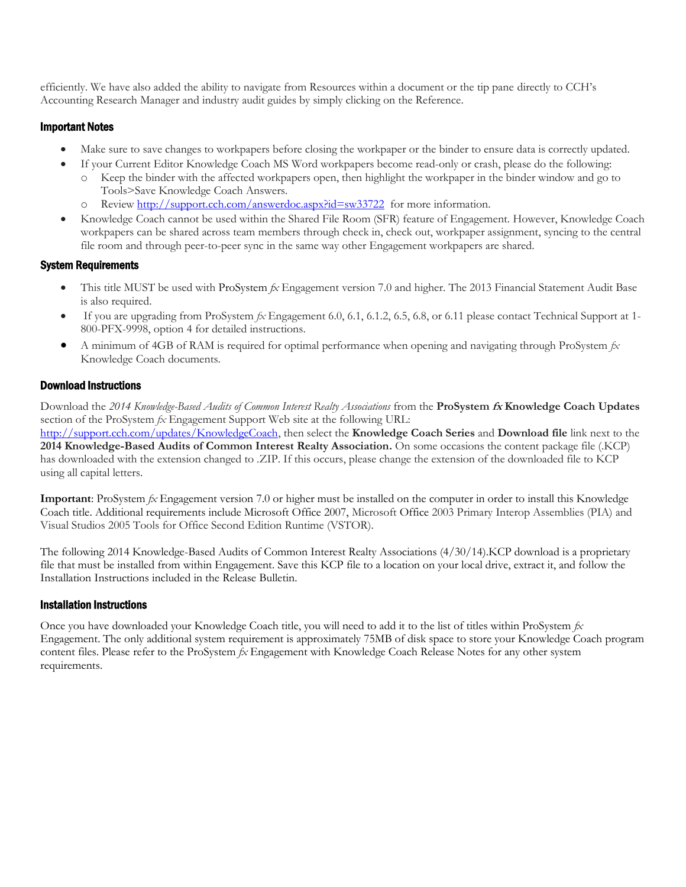efficiently. We have also added the ability to navigate from Resources within a document or the tip pane directly to CCH's Accounting Research Manager and industry audit guides by simply clicking on the Reference.

## Important Notes

- Make sure to save changes to workpapers before closing the workpaper or the binder to ensure data is correctly updated.
- If your Current Editor Knowledge Coach MS Word workpapers become read-only or crash, please do the following:
	- o Keep the binder with the affected workpapers open, then highlight the workpaper in the binder window and go to Tools>Save Knowledge Coach Answers.
	- Review<http://support.cch.com/answerdoc.aspx?id=sw33722>for more information.
- Knowledge Coach cannot be used within the Shared File Room (SFR) feature of Engagement. However, Knowledge Coach workpapers can be shared across team members through check in, check out, workpaper assignment, syncing to the central file room and through peer-to-peer sync in the same way other Engagement workpapers are shared.

## System Requirements

- This title MUST be used with ProSystem *fx* Engagement version 7.0 and higher. The 2013 Financial Statement Audit Base is also required.
- If you are upgrading from ProSystem *fx* Engagement 6.0, 6.1, 6.1.2, 6.5, 6.8, or 6.11 please contact Technical Support at 1- 800-PFX-9998, option 4 for detailed instructions.
- A minimum of 4GB of RAM is required for optimal performance when opening and navigating through ProSystem *fx*  Knowledge Coach documents.

## Download Instructions

Download the *2014 Knowledge-Based Audits of Common Interest Realty Associations* from the **ProSystem fx Knowledge Coach Updates**  section of the ProSystem *fx* Engagement Support Web site at the following URL:

[http://support.cch.com/updates/KnowledgeCoach,](http://support.cch.com/updates/KnowledgeCoach) then select the **Knowledge Coach Series** and **Download file** link next to the **2014 Knowledge-Based Audits of Common Interest Realty Association.** On some occasions the content package file (.KCP) has downloaded with the extension changed to .ZIP. If this occurs, please change the extension of the downloaded file to KCP using all capital letters.

**Important**: ProSystem *fx* Engagement version 7.0 or higher must be installed on the computer in order to install this Knowledge Coach title. Additional requirements include Microsoft Office 2007, Microsoft Office 2003 Primary Interop Assemblies (PIA) and Visual Studios 2005 Tools for Office Second Edition Runtime (VSTOR).

The following 2014 Knowledge-Based Audits of Common Interest Realty Associations (4/30/14).KCP download is a proprietary file that must be installed from within Engagement. Save this KCP file to a location on your local drive, extract it, and follow the Installation Instructions included in the Release Bulletin.

## Installation Instructions

Once you have downloaded your Knowledge Coach title, you will need to add it to the list of titles within ProSystem *fx*  Engagement. The only additional system requirement is approximately 75MB of disk space to store your Knowledge Coach program content files. Please refer to the ProSystem *fx* Engagement with Knowledge Coach Release Notes for any other system requirements.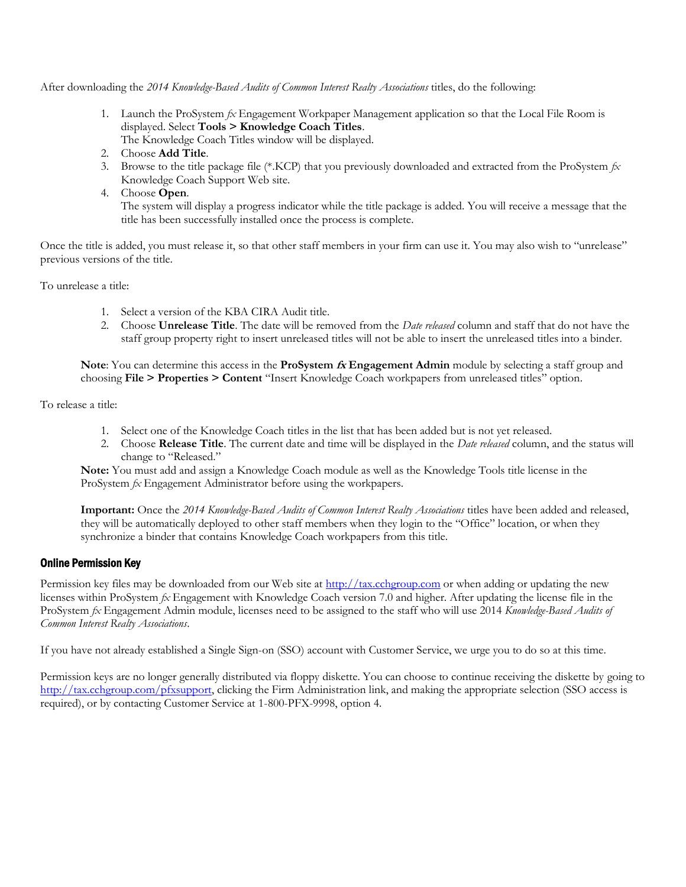After downloading the *2014 Knowledge-Based Audits of Common Interest Realty Associations* titles, do the following:

- 1. Launch the ProSystem *fx* Engagement Workpaper Management application so that the Local File Room is displayed. Select **Tools > Knowledge Coach Titles**.
	- The Knowledge Coach Titles window will be displayed.
- 2. Choose **Add Title**.
- 3. Browse to the title package file (\*.KCP) that you previously downloaded and extracted from the ProSystem *fx*  Knowledge Coach Support Web site.
- 4. Choose **Open**.

The system will display a progress indicator while the title package is added. You will receive a message that the title has been successfully installed once the process is complete.

Once the title is added, you must release it, so that other staff members in your firm can use it. You may also wish to "unrelease" previous versions of the title.

To unrelease a title:

- 1. Select a version of the KBA CIRA Audit title.
- 2. Choose **Unrelease Title**. The date will be removed from the *Date released* column and staff that do not have the staff group property right to insert unreleased titles will not be able to insert the unreleased titles into a binder.

**Note**: You can determine this access in the **ProSystem fx Engagement Admin** module by selecting a staff group and choosing **File > Properties > Content** "Insert Knowledge Coach workpapers from unreleased titles" option.

To release a title:

- 1. Select one of the Knowledge Coach titles in the list that has been added but is not yet released.
- 2. Choose **Release Title**. The current date and time will be displayed in the *Date released* column, and the status will change to "Released."

**Note:** You must add and assign a Knowledge Coach module as well as the Knowledge Tools title license in the ProSystem *fx* Engagement Administrator before using the workpapers.

**Important:** Once the *2014 Knowledge-Based Audits of Common Interest Realty Associations* titles have been added and released, they will be automatically deployed to other staff members when they login to the "Office" location, or when they synchronize a binder that contains Knowledge Coach workpapers from this title.

#### Online Permission Key

Permission key files may be downloaded from our Web site a[t http://tax.cchgroup.com](http://tax.cchgroup.com/) or when adding or updating the new licenses within ProSystem *fx* Engagement with Knowledge Coach version 7.0 and higher. After updating the license file in the ProSystem *fx* Engagement Admin module, licenses need to be assigned to the staff who will use 2014 *Knowledge-Based Audits of Common Interest Realty Associations*.

If you have not already established a Single Sign-on (SSO) account with Customer Service, we urge you to do so at this time.

Permission keys are no longer generally distributed via floppy diskette. You can choose to continue receiving the diskette by going to [http://tax.cchgroup.com/pfxsupport,](http://tax.cchgroup.com/pfxsupport) clicking the Firm Administration link, and making the appropriate selection (SSO access is required), or by contacting Customer Service at 1-800-PFX-9998, option 4.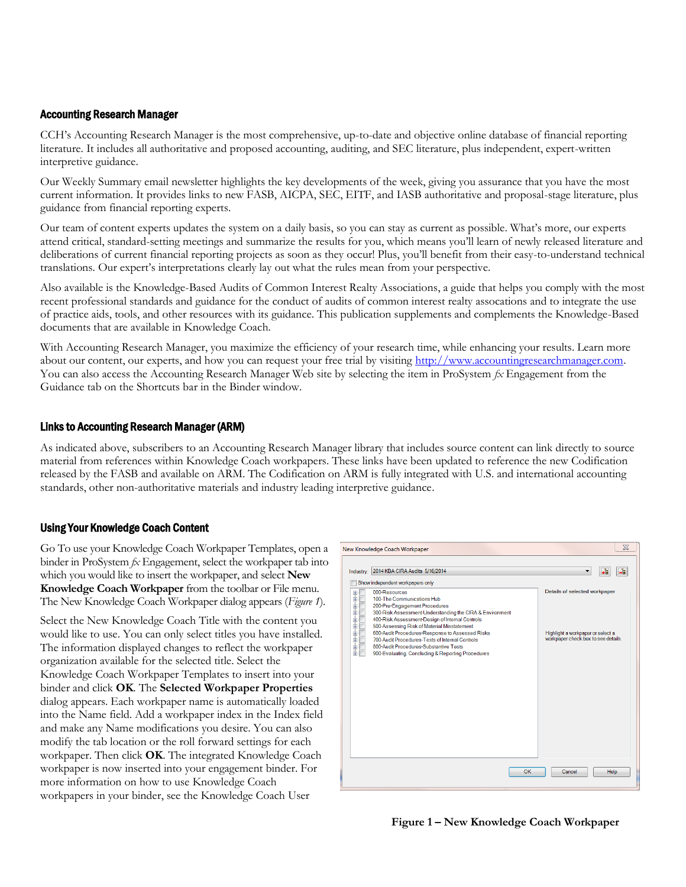## Accounting Research Manager

CCH's Accounting Research Manager is the most comprehensive, up-to-date and objective online database of financial reporting literature. It includes all authoritative and proposed accounting, auditing, and SEC literature, plus independent, expert-written interpretive guidance.

Our Weekly Summary email newsletter highlights the key developments of the week, giving you assurance that you have the most current information. It provides links to new FASB, AICPA, SEC, EITF, and IASB authoritative and proposal-stage literature, plus guidance from financial reporting experts.

Our team of content experts updates the system on a daily basis, so you can stay as current as possible. What's more, our experts attend critical, standard-setting meetings and summarize the results for you, which means you'll learn of newly released literature and deliberations of current financial reporting projects as soon as they occur! Plus, you'll benefit from their easy-to-understand technical translations. Our expert's interpretations clearly lay out what the rules mean from your perspective.

Also available is the Knowledge-Based Audits of Common Interest Realty Associations, a guide that helps you comply with the most recent professional standards and guidance for the conduct of audits of common interest realty assocations and to integrate the use of practice aids, tools, and other resources with its guidance. This publication supplements and complements the Knowledge-Based documents that are available in Knowledge Coach.

With Accounting Research Manager, you maximize the efficiency of your research time, while enhancing your results. Learn more about our content, our experts, and how you can request your free trial by visiting [http://www.accountingresearchmanager.com.](http://www.accountingresearchmanager.com/)  You can also access the Accounting Research Manager Web site by selecting the item in ProSystem *fx* Engagement from the Guidance tab on the Shortcuts bar in the Binder window.

## Links to Accounting Research Manager (ARM)

As indicated above, subscribers to an Accounting Research Manager library that includes source content can link directly to source material from references within Knowledge Coach workpapers. These links have been updated to reference the new Codification released by the FASB and available on ARM. The Codification on ARM is fully integrated with U.S. and international accounting standards, other non-authoritative materials and industry leading interpretive guidance.

## Using Your Knowledge Coach Content

Go To use your Knowledge Coach Workpaper Templates, open a binder in ProSystem *fx* Engagement, select the workpaper tab into which you would like to insert the workpaper, and select **New Knowledge Coach Workpaper** from the toolbar or File menu. The New Knowledge Coach Workpaper dialog appears (*Figure 1*).

Select the New Knowledge Coach Title with the content you would like to use. You can only select titles you have installed. The information displayed changes to reflect the workpaper organization available for the selected title. Select the Knowledge Coach Workpaper Templates to insert into your binder and click **OK**. The **Selected Workpaper Properties** dialog appears. Each workpaper name is automatically loaded into the Name field. Add a workpaper index in the Index field and make any Name modifications you desire. You can also modify the tab location or the roll forward settings for each workpaper. Then click **OK**. The integrated Knowledge Coach workpaper is now inserted into your engagement binder. For more information on how to use Knowledge Coach workpapers in your binder, see the Knowledge Coach User